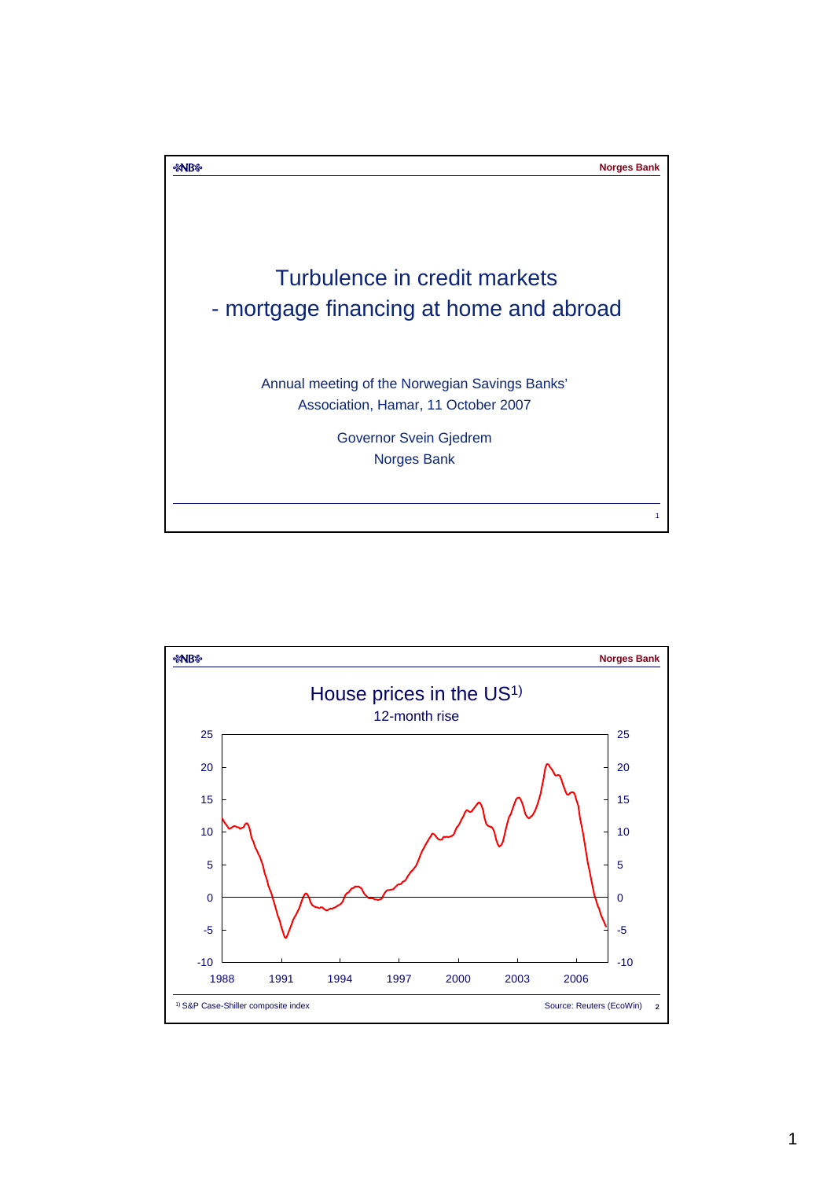

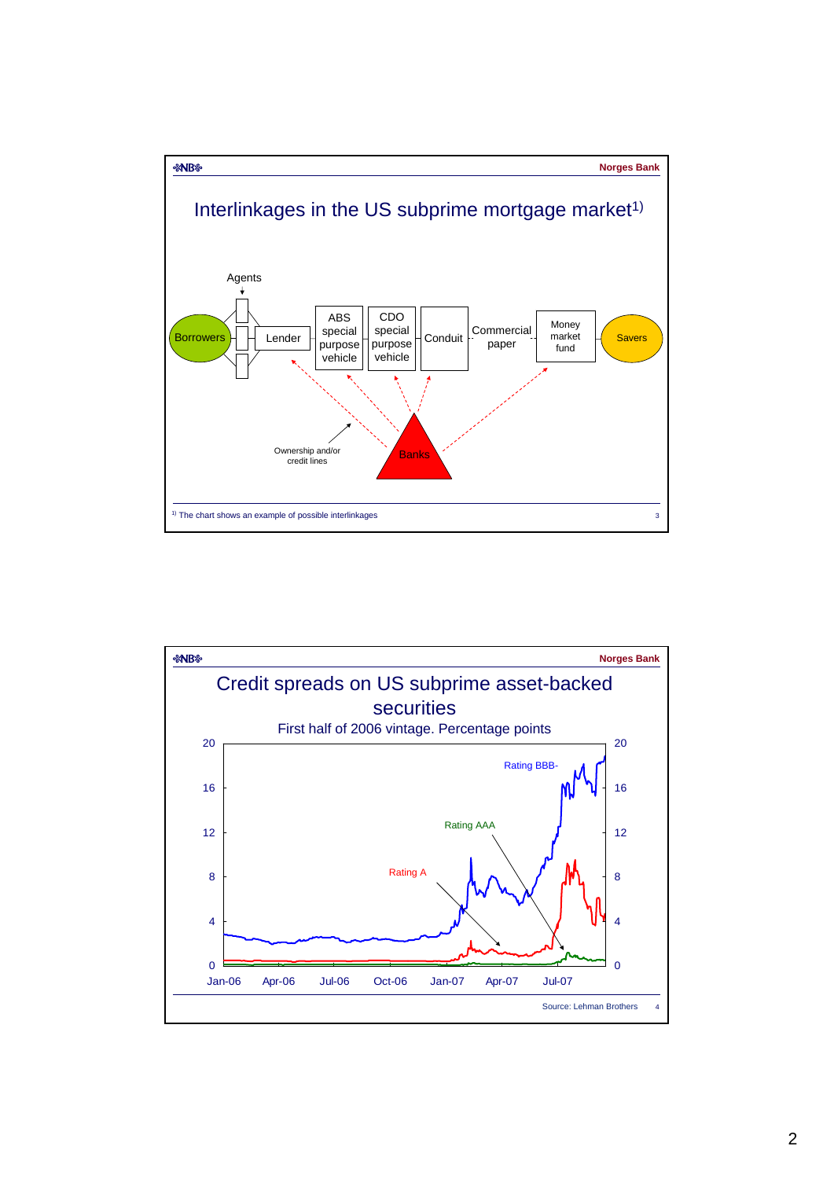

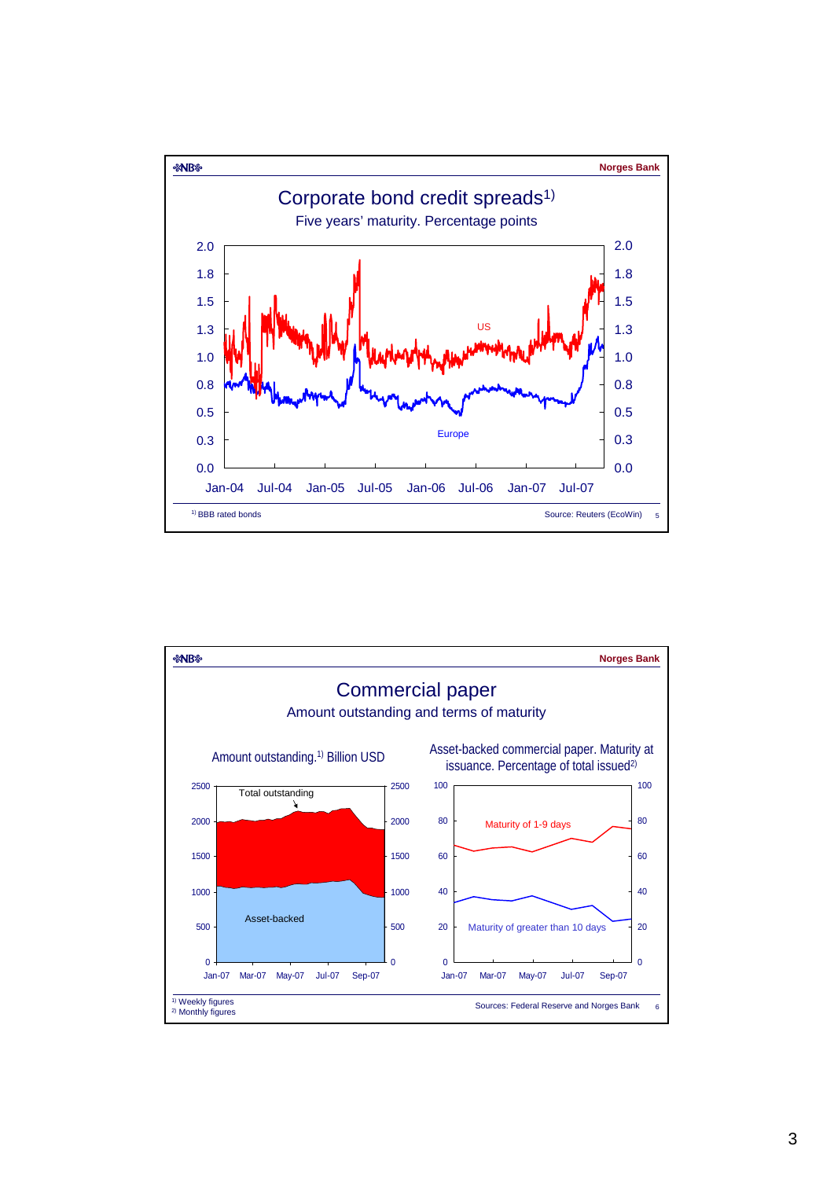

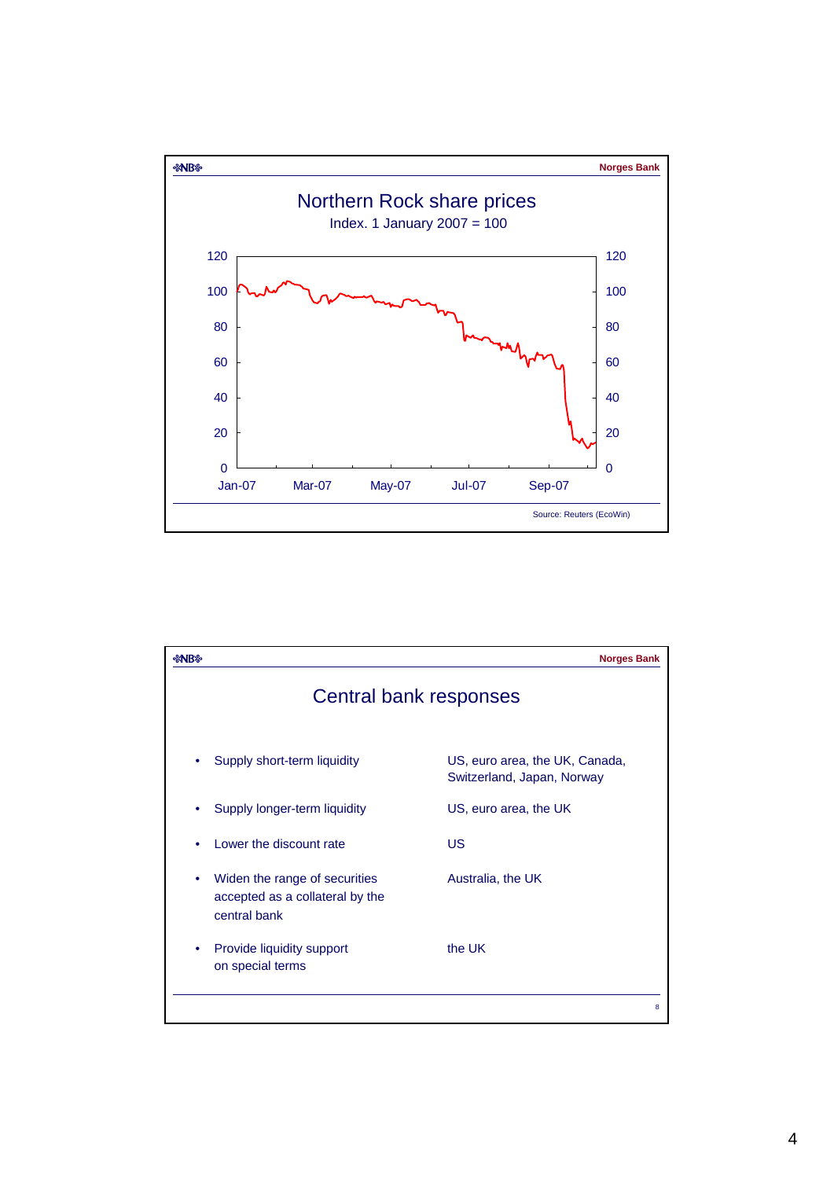

| <b>%NB</b>             |                                                                                  | <b>Norges Bank</b>                                           |
|------------------------|----------------------------------------------------------------------------------|--------------------------------------------------------------|
| Central bank responses |                                                                                  |                                                              |
|                        | Supply short-term liquidity                                                      | US, euro area, the UK, Canada,<br>Switzerland, Japan, Norway |
| ٠                      | Supply longer-term liquidity                                                     | US, euro area, the UK                                        |
|                        | Lower the discount rate                                                          | US.                                                          |
| ٠                      | Widen the range of securities<br>accepted as a collateral by the<br>central bank | Australia, the UK                                            |
|                        | Provide liquidity support<br>on special terms                                    | the UK                                                       |
|                        |                                                                                  | 8                                                            |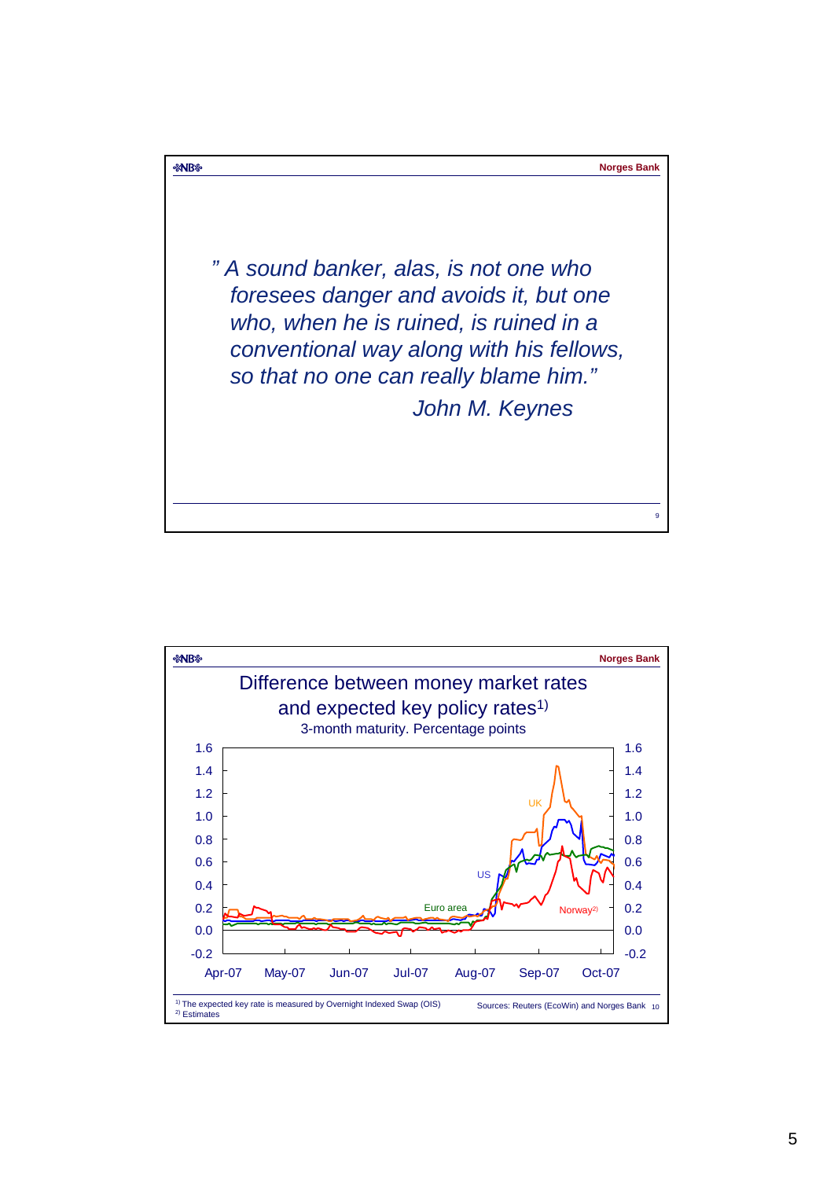

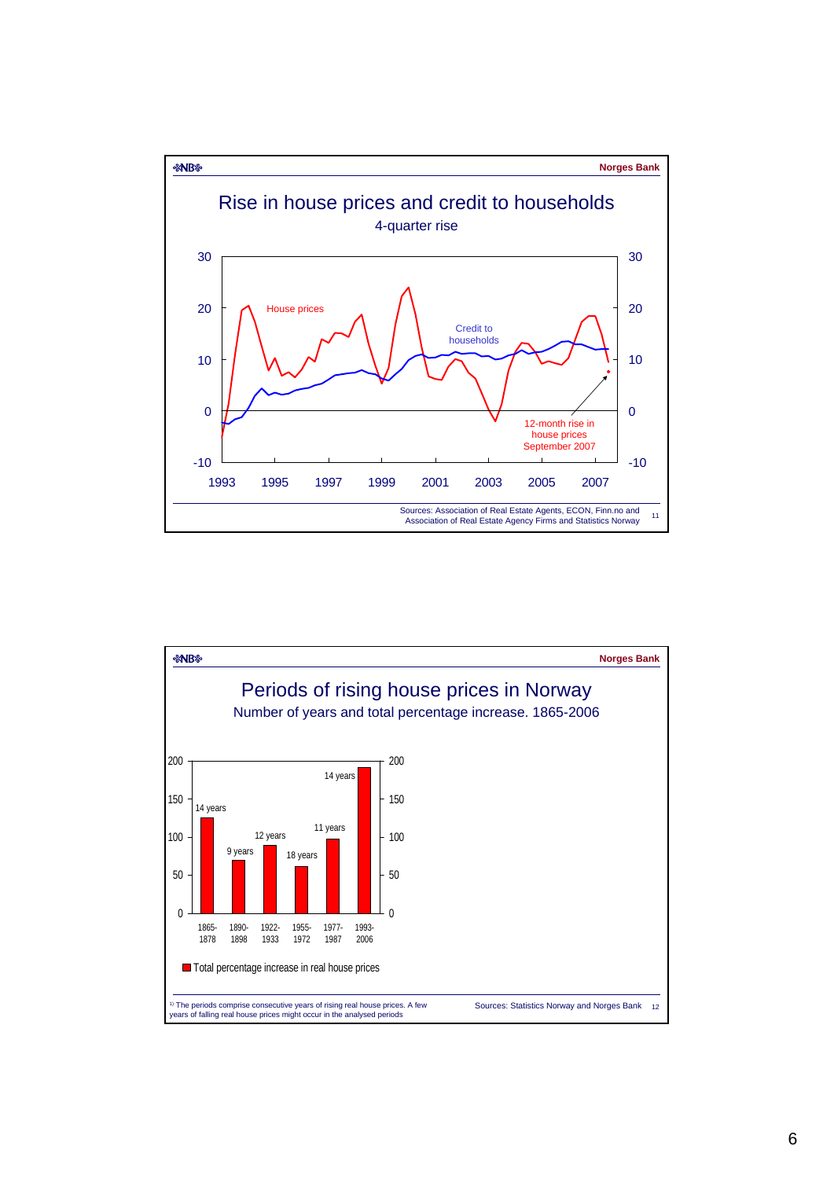

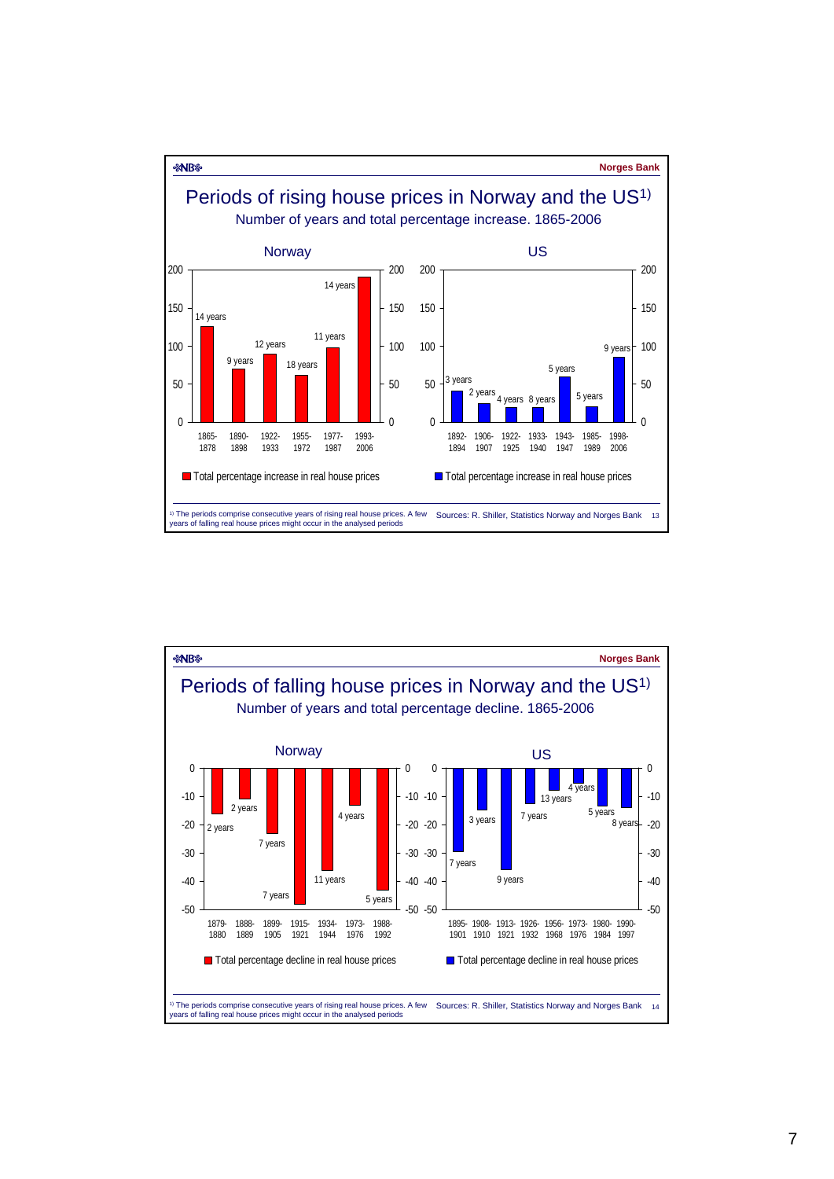

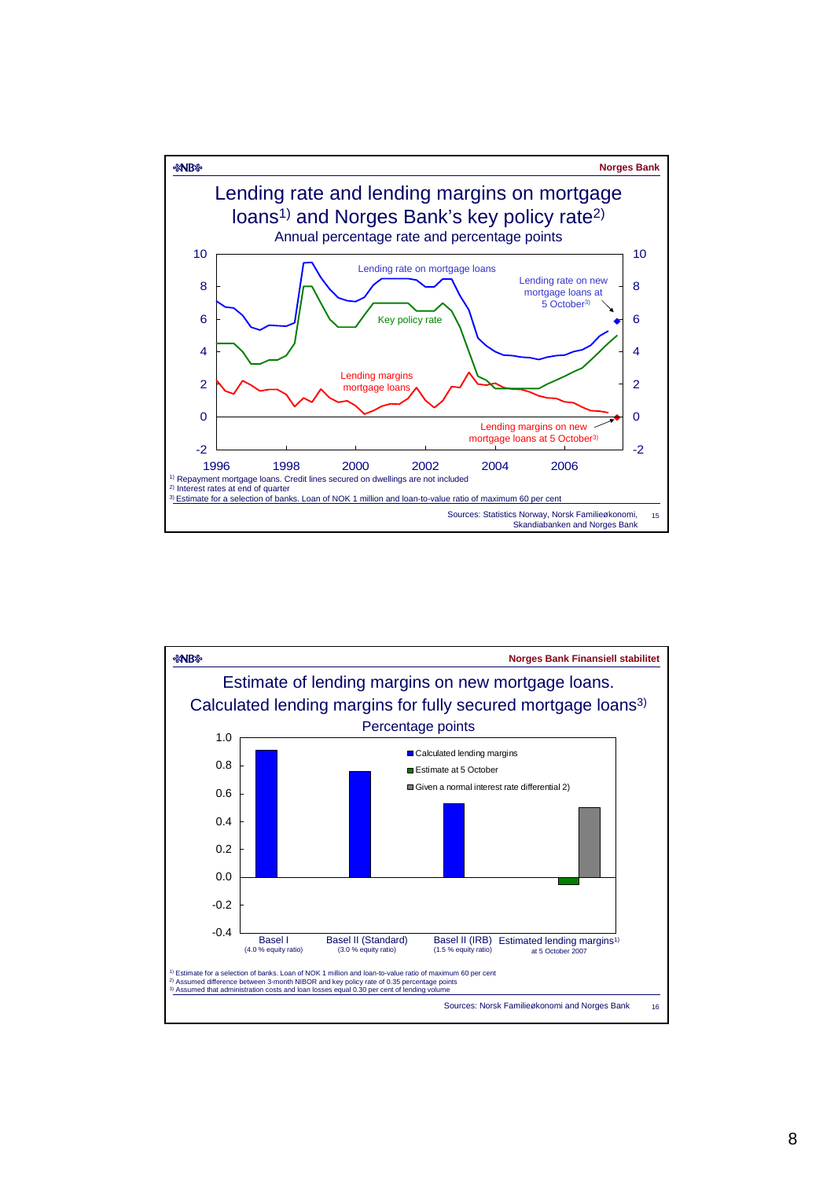

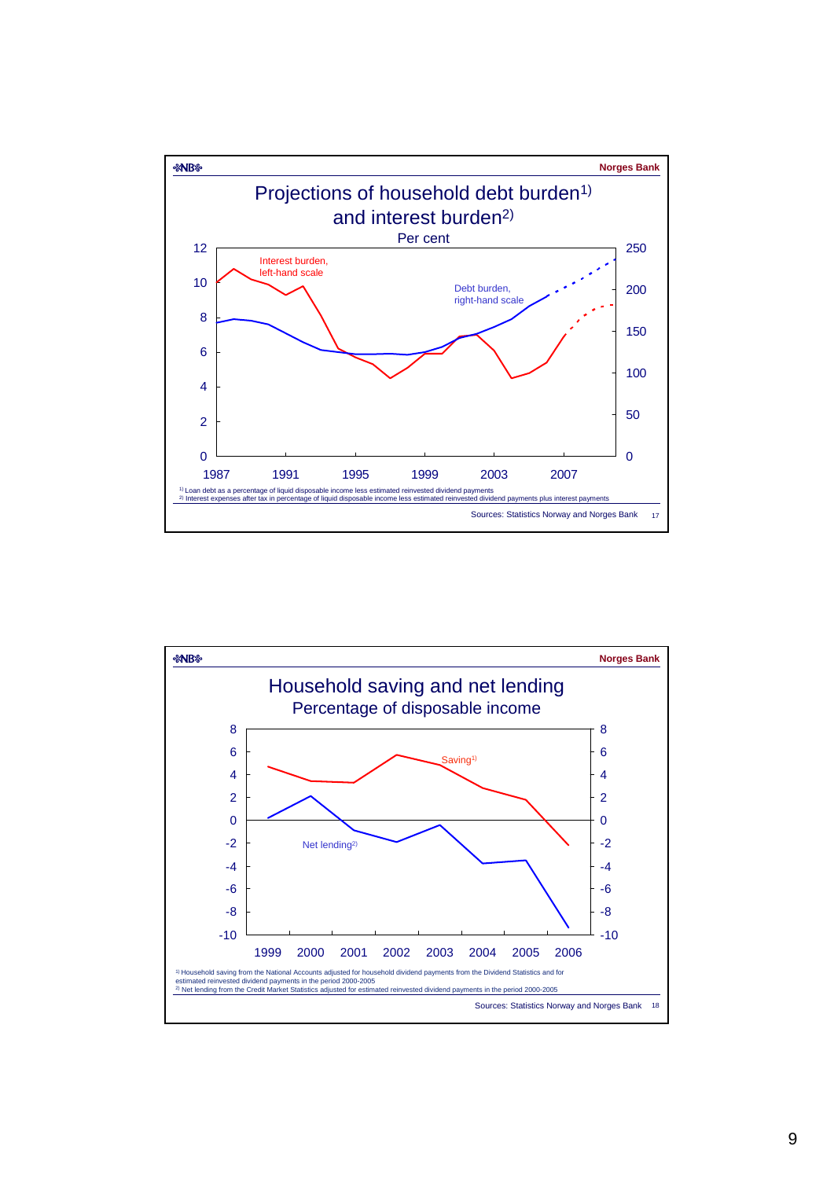